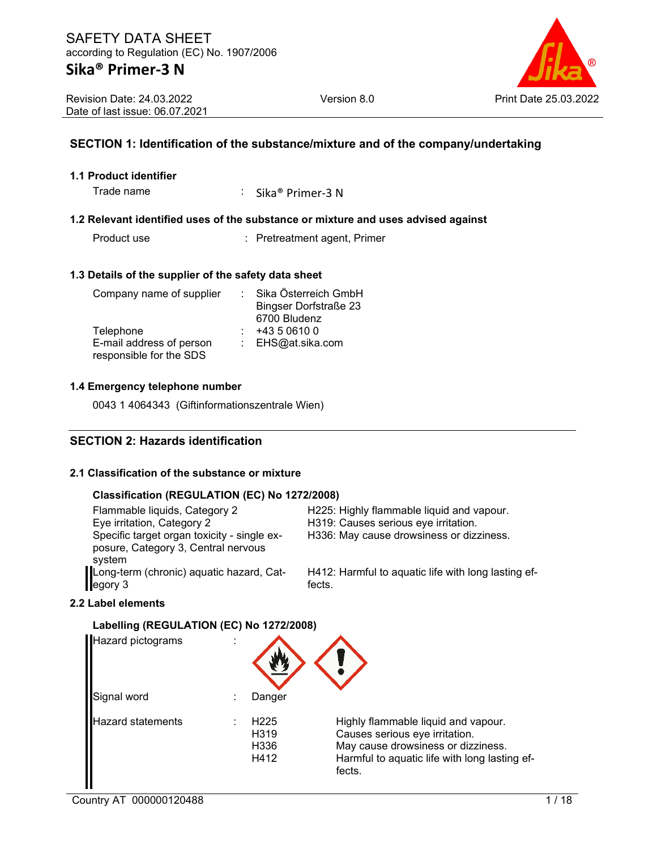Revision Date: 24.03.2022 Date of last issue: 06.07.2021

### **SECTION 1: Identification of the substance/mixture and of the company/undertaking**

#### **1.1 Product identifier**

Trade name : Sika® Primer-3 N

#### **1.2 Relevant identified uses of the substance or mixture and uses advised against**

Product use **Product use** : Pretreatment agent, Primer

#### **1.3 Details of the supplier of the safety data sheet**

| Company name of supplier | Sika Österreich GmbH         |
|--------------------------|------------------------------|
|                          | <b>Bingser Dorfstraße 23</b> |
|                          | 6700 Bludenz                 |
| Telephone                | +43 5 0610 0                 |
| E-mail address of person | : EHS@at.sika.com            |
| responsible for the SDS  |                              |

#### **1.4 Emergency telephone number**

0043 1 4064343 (Giftinformationszentrale Wien)

### **SECTION 2: Hazards identification**

#### **2.1 Classification of the substance or mixture**

#### **Classification (REGULATION (EC) No 1272/2008)**

| Flammable liquids, Category 2<br>Eye irritation, Category 2<br>Specific target organ toxicity - single ex-<br>posure, Category 3, Central nervous | H225: Highly flammable liquid and vapour.<br>H319: Causes serious eye irritation.<br>H336: May cause drowsiness or dizziness. |
|---------------------------------------------------------------------------------------------------------------------------------------------------|-------------------------------------------------------------------------------------------------------------------------------|
| system<br>Long-term (chronic) aquatic hazard, Cat-<br>egory 3                                                                                     | H412: Harmful to aquatic life with long lasting ef-<br>fects.                                                                 |

#### **2.2 Label elements**

#### **Labelling (REGULATION (EC) No 1272/2008)**

| Hazard pictograms        |                                          |                                                                                                                                                                        |
|--------------------------|------------------------------------------|------------------------------------------------------------------------------------------------------------------------------------------------------------------------|
| Signal word              | Danger                                   |                                                                                                                                                                        |
| <b>Hazard statements</b> | H <sub>225</sub><br>H319<br>H336<br>H412 | Highly flammable liquid and vapour.<br>Causes serious eye irritation.<br>May cause drowsiness or dizziness.<br>Harmful to aquatic life with long lasting ef-<br>fects. |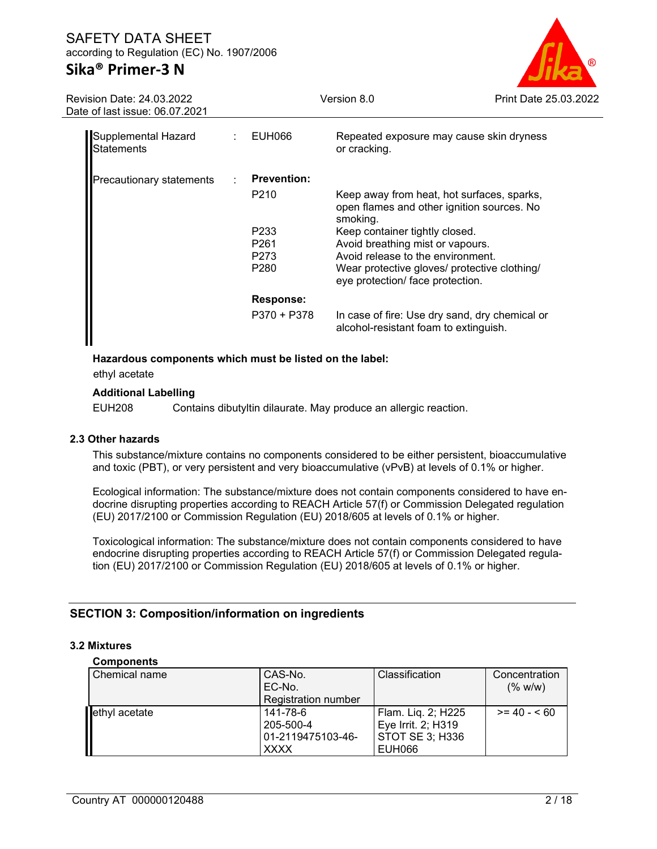# **Sika® Primer-3 N**



| Revision Date: 24.03.2022<br>Date of last issue: 06.07.2021 |   |                                      | Version 8.0                                                                                          | Print Date 25.03 |
|-------------------------------------------------------------|---|--------------------------------------|------------------------------------------------------------------------------------------------------|------------------|
| Supplemental Hazard<br>Statements                           |   | : EUH066                             | Repeated exposure may cause skin dryness<br>or cracking.                                             |                  |
| Precautionary statements                                    | ÷ | <b>Prevention:</b>                   |                                                                                                      |                  |
|                                                             |   | P <sub>210</sub>                     | Keep away from heat, hot surfaces, sparks,<br>open flames and other ignition sources. No<br>smoking. |                  |
|                                                             |   | P <sub>233</sub><br>P <sub>261</sub> | Keep container tightly closed.<br>Avoid breathing mist or vapours.                                   |                  |
|                                                             |   | P273                                 | Avoid release to the environment.                                                                    |                  |
|                                                             |   | P <sub>280</sub>                     | Wear protective gloves/ protective clothing/<br>eye protection/ face protection.                     |                  |
|                                                             |   | Response:                            |                                                                                                      |                  |
|                                                             |   | P370 + P378                          | In case of fire: Use dry sand, dry chemical or<br>alcohol-resistant foam to extinguish.              |                  |

#### **Hazardous components which must be listed on the label:**

ethyl acetate

#### **Additional Labelling**

EUH208 Contains dibutyltin dilaurate. May produce an allergic reaction.

#### **2.3 Other hazards**

This substance/mixture contains no components considered to be either persistent, bioaccumulative and toxic (PBT), or very persistent and very bioaccumulative (vPvB) at levels of 0.1% or higher.

Ecological information: The substance/mixture does not contain components considered to have endocrine disrupting properties according to REACH Article 57(f) or Commission Delegated regulation (EU) 2017/2100 or Commission Regulation (EU) 2018/605 at levels of 0.1% or higher.

Toxicological information: The substance/mixture does not contain components considered to have endocrine disrupting properties according to REACH Article 57(f) or Commission Delegated regulation (EU) 2017/2100 or Commission Regulation (EU) 2018/605 at levels of 0.1% or higher.

#### **SECTION 3: Composition/information on ingredients**

#### **3.2 Mixtures**

#### **Components**

| Chemical name | CAS-No.                    | Classification         | Concentration |
|---------------|----------------------------|------------------------|---------------|
|               | EC-No.                     |                        | (% w/w)       |
|               | <b>Registration number</b> |                        |               |
| ethyl acetate | 141-78-6                   | Flam. Liq. 2; H225     | $>= 40 - 60$  |
|               | 205-500-4                  | Eye Irrit. 2; H319     |               |
|               | 01-2119475103-46-          | <b>STOT SE 3; H336</b> |               |
|               | <b>XXXX</b>                | EUH066                 |               |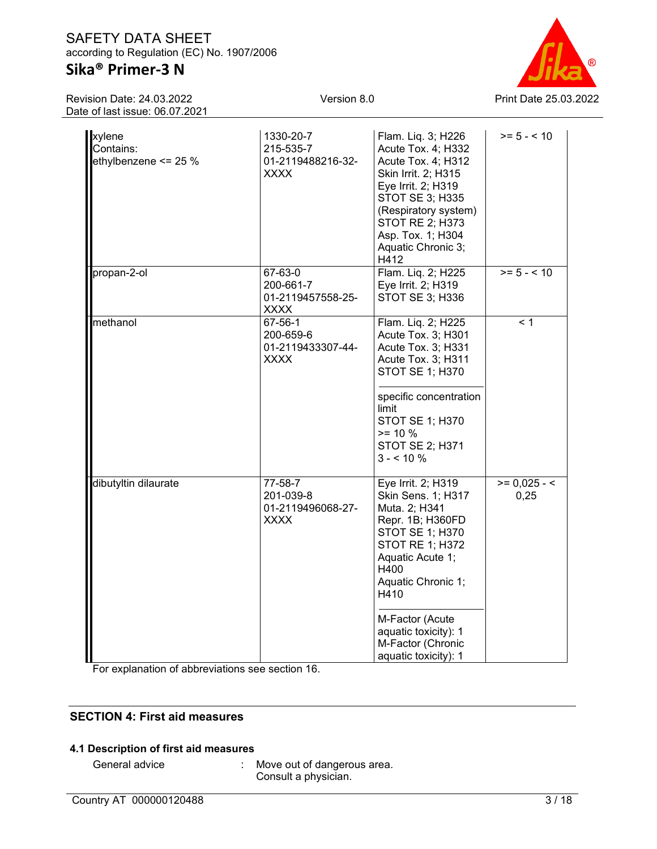# **Sika® Primer-3 N**

Revision Date: 24.03.2022 Date of last issue: 06.07.2021



| <b>Xylene</b><br>Contains:<br>ethylbenzene <= 25 % | 1330-20-7<br>215-535-7<br>01-2119488216-32-<br><b>XXXX</b> | Flam. Liq. 3; H226<br>Acute Tox. 4; H332<br>Acute Tox. 4; H312<br>Skin Irrit. 2; H315<br>Eye Irrit. 2; H319<br>STOT SE 3; H335<br>(Respiratory system)<br>STOT RE 2; H373<br>Asp. Tox. 1; H304<br>Aquatic Chronic 3;<br>H412      | $>= 5 - < 10$          |
|----------------------------------------------------|------------------------------------------------------------|-----------------------------------------------------------------------------------------------------------------------------------------------------------------------------------------------------------------------------------|------------------------|
| propan-2-ol                                        | 67-63-0<br>200-661-7<br>01-2119457558-25-<br><b>XXXX</b>   | Flam. Liq. 2; H225<br>Eye Irrit. 2; H319<br>STOT SE 3; H336                                                                                                                                                                       | $>= 5 - < 10$          |
| methanol                                           | 67-56-1<br>200-659-6<br>01-2119433307-44-<br><b>XXXX</b>   | Flam. Liq. 2; H225<br>Acute Tox. 3; H301<br>Acute Tox. 3; H331<br>Acute Tox. 3; H311<br><b>STOT SE 1; H370</b><br>specific concentration<br>limit<br><b>STOT SE 1; H370</b><br>$>= 10 %$<br><b>STOT SE 2; H371</b><br>$3 - 10 \%$ | < 1                    |
| dibutyltin dilaurate                               | 77-58-7<br>201-039-8<br>01-2119496068-27-<br><b>XXXX</b>   | Eye Irrit. 2; H319<br>Skin Sens. 1; H317<br>Muta. 2; H341<br>Repr. 1B; H360FD<br>STOT SE 1; H370<br><b>STOT RE 1; H372</b><br>Aquatic Acute 1;<br>H400<br>Aquatic Chronic 1;<br>H410                                              | $>= 0.025 - 5$<br>0,25 |
|                                                    |                                                            | M-Factor (Acute<br>aquatic toxicity): 1<br>M-Factor (Chronic<br>aquatic toxicity): 1                                                                                                                                              |                        |

For explanation of abbreviations see section 16.

### **SECTION 4: First aid measures**

### **4.1 Description of first aid measures**

General advice : Move out of dangerous area. Consult a physician.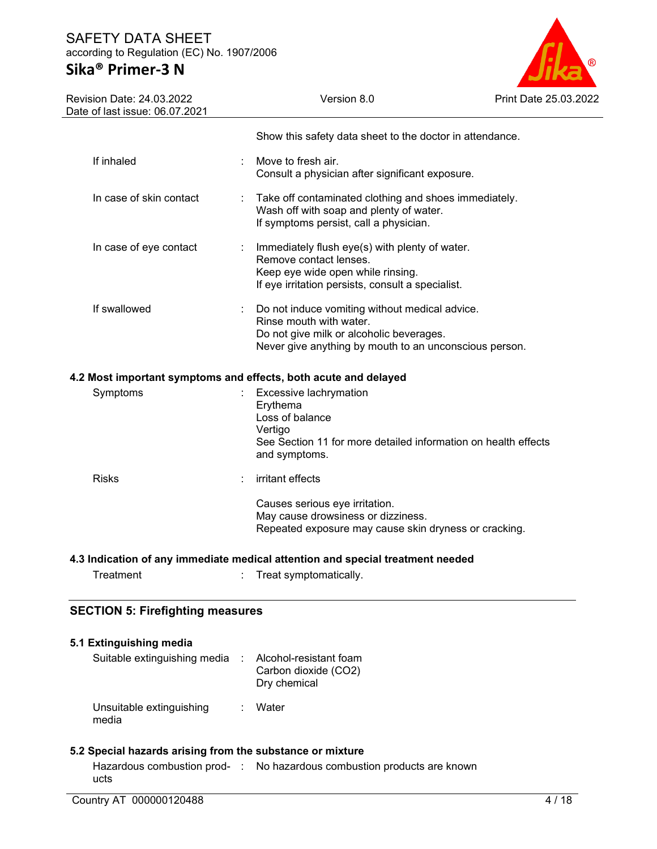# **Sika® Primer-3 N**



|                                                         | Show this safety data sheet to the doctor in attendance. |                                                                                                                                                                                                                                                                                                                                                                                                                                                                                                                                                                                                                                                                                                                                                                                                                                                                                                                                                                    |
|---------------------------------------------------------|----------------------------------------------------------|--------------------------------------------------------------------------------------------------------------------------------------------------------------------------------------------------------------------------------------------------------------------------------------------------------------------------------------------------------------------------------------------------------------------------------------------------------------------------------------------------------------------------------------------------------------------------------------------------------------------------------------------------------------------------------------------------------------------------------------------------------------------------------------------------------------------------------------------------------------------------------------------------------------------------------------------------------------------|
| Move to fresh air.                                      |                                                          |                                                                                                                                                                                                                                                                                                                                                                                                                                                                                                                                                                                                                                                                                                                                                                                                                                                                                                                                                                    |
|                                                         |                                                          |                                                                                                                                                                                                                                                                                                                                                                                                                                                                                                                                                                                                                                                                                                                                                                                                                                                                                                                                                                    |
|                                                         |                                                          |                                                                                                                                                                                                                                                                                                                                                                                                                                                                                                                                                                                                                                                                                                                                                                                                                                                                                                                                                                    |
|                                                         |                                                          |                                                                                                                                                                                                                                                                                                                                                                                                                                                                                                                                                                                                                                                                                                                                                                                                                                                                                                                                                                    |
|                                                         |                                                          |                                                                                                                                                                                                                                                                                                                                                                                                                                                                                                                                                                                                                                                                                                                                                                                                                                                                                                                                                                    |
| Erythema<br>Loss of balance<br>Vertigo<br>and symptoms. |                                                          |                                                                                                                                                                                                                                                                                                                                                                                                                                                                                                                                                                                                                                                                                                                                                                                                                                                                                                                                                                    |
| irritant effects                                        |                                                          |                                                                                                                                                                                                                                                                                                                                                                                                                                                                                                                                                                                                                                                                                                                                                                                                                                                                                                                                                                    |
|                                                         |                                                          |                                                                                                                                                                                                                                                                                                                                                                                                                                                                                                                                                                                                                                                                                                                                                                                                                                                                                                                                                                    |
|                                                         |                                                          |                                                                                                                                                                                                                                                                                                                                                                                                                                                                                                                                                                                                                                                                                                                                                                                                                                                                                                                                                                    |
|                                                         |                                                          |                                                                                                                                                                                                                                                                                                                                                                                                                                                                                                                                                                                                                                                                                                                                                                                                                                                                                                                                                                    |
|                                                         |                                                          | Consult a physician after significant exposure.<br>Take off contaminated clothing and shoes immediately.<br>Wash off with soap and plenty of water.<br>If symptoms persist, call a physician.<br>Immediately flush eye(s) with plenty of water.<br>Remove contact lenses.<br>Keep eye wide open while rinsing.<br>If eye irritation persists, consult a specialist.<br>Do not induce vomiting without medical advice.<br>Rinse mouth with water.<br>Do not give milk or alcoholic beverages.<br>Never give anything by mouth to an unconscious person.<br>4.2 Most important symptoms and effects, both acute and delayed<br>Excessive lachrymation<br>See Section 11 for more detailed information on health effects<br>Causes serious eye irritation.<br>May cause drowsiness or dizziness.<br>Repeated exposure may cause skin dryness or cracking.<br>4.3 Indication of any immediate medical attention and special treatment needed<br>Treat symptomatically. |

| 5.1 Extinguishing media           |   |                                                                  |
|-----------------------------------|---|------------------------------------------------------------------|
| Suitable extinguishing media      |   | : Alcohol-resistant foam<br>Carbon dioxide (CO2)<br>Dry chemical |
| Unsuitable extinguishing<br>media | ÷ | Water                                                            |

### **5.2 Special hazards arising from the substance or mixture**

|      | Hazardous combustion prod- : No hazardous combustion products are known |
|------|-------------------------------------------------------------------------|
| ucts |                                                                         |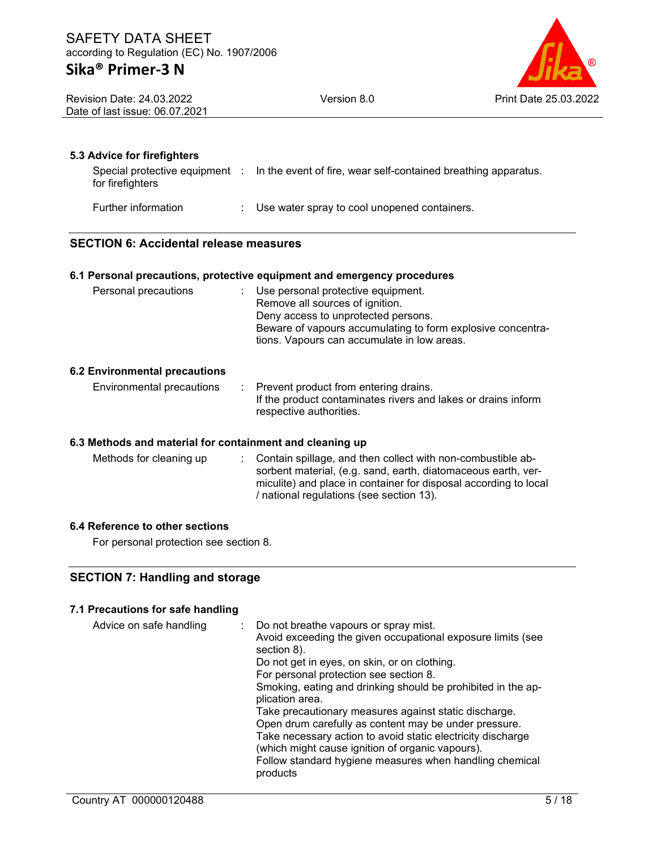| ®                     |
|-----------------------|
| Print Date 25.03.2022 |

Revision Date: 24.03.2022 Date of last issue: 06.07.2021 Version 8.0

#### **5.3 Advice for firefighters**

| Special protective equipment :<br>for firefighters | In the event of fire, wear self-contained breathing apparatus. |
|----------------------------------------------------|----------------------------------------------------------------|
| Further information                                | : Use water spray to cool unopened containers.                 |

#### **SECTION 6: Accidental release measures**

#### **6.1 Personal precautions, protective equipment and emergency procedures**

| Personal precautions | : Use personal protective equipment.<br>Remove all sources of ignition.<br>Deny access to unprotected persons.<br>Beware of vapours accumulating to form explosive concentra-<br>tions. Vapours can accumulate in low areas. |
|----------------------|------------------------------------------------------------------------------------------------------------------------------------------------------------------------------------------------------------------------------|
|                      |                                                                                                                                                                                                                              |

#### **6.2 Environmental precautions**

Environmental precautions : Prevent product from entering drains. If the product contaminates rivers and lakes or drains inform respective authorities.

#### **6.3 Methods and material for containment and cleaning up**

Methods for cleaning up : Contain spillage, and then collect with non-combustible absorbent material, (e.g. sand, earth, diatomaceous earth, vermiculite) and place in container for disposal according to local / national regulations (see section 13).

#### **6.4 Reference to other sections**

For personal protection see section 8.

### **SECTION 7: Handling and storage**

#### **7.1 Precautions for safe handling**

| Advice on safe handling | : Do not breathe vapours or spray mist.                      |
|-------------------------|--------------------------------------------------------------|
|                         | Avoid exceeding the given occupational exposure limits (see  |
|                         | section 8).                                                  |
|                         | Do not get in eyes, on skin, or on clothing.                 |
|                         | For personal protection see section 8.                       |
|                         | Smoking, eating and drinking should be prohibited in the ap- |
|                         | plication area.                                              |
|                         | Take precautionary measures against static discharge.        |
|                         | Open drum carefully as content may be under pressure.        |
|                         | Take necessary action to avoid static electricity discharge  |
|                         | (which might cause ignition of organic vapours).             |
|                         | Follow standard hygiene measures when handling chemical      |
|                         | products                                                     |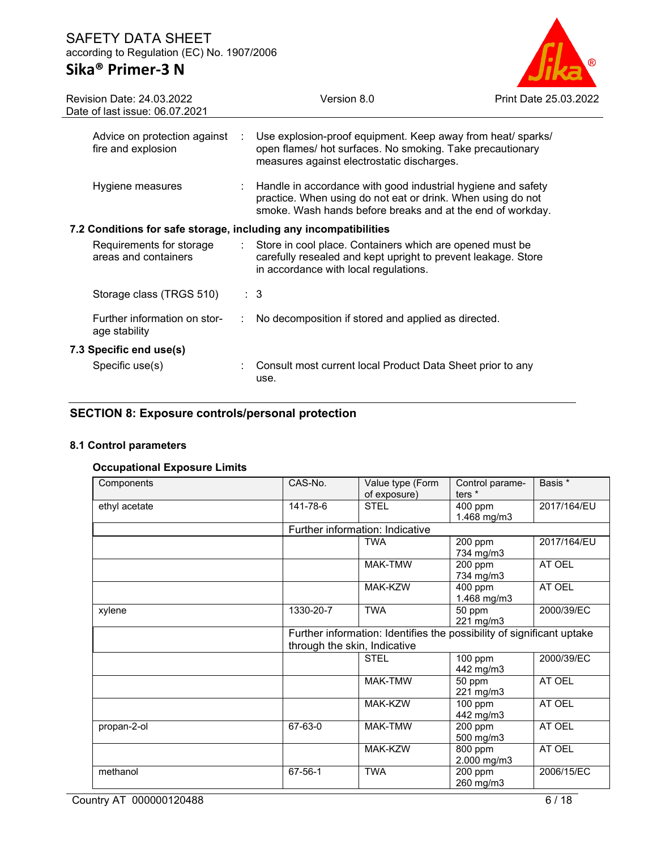# **Sika® Primer-3 N**



| Revision Date: 24.03.2022<br>Date of last issue: 06.07.2021                 | Version 8.0                                                                                                                                                                               | Print Date 25.03.2022 |
|-----------------------------------------------------------------------------|-------------------------------------------------------------------------------------------------------------------------------------------------------------------------------------------|-----------------------|
| Advice on protection against :<br>fire and explosion                        | Use explosion-proof equipment. Keep away from heat/ sparks/<br>open flames/ hot surfaces. No smoking. Take precautionary<br>measures against electrostatic discharges.                    |                       |
| Hygiene measures                                                            | Handle in accordance with good industrial hygiene and safety<br>practice. When using do not eat or drink. When using do not<br>smoke. Wash hands before breaks and at the end of workday. |                       |
| 7.2 Conditions for safe storage, including any incompatibilities            |                                                                                                                                                                                           |                       |
| Requirements for storage<br>$\mathbb{Z}^{\times}$ .<br>areas and containers | Store in cool place. Containers which are opened must be<br>carefully resealed and kept upright to prevent leakage. Store<br>in accordance with local regulations.                        |                       |
| Storage class (TRGS 510)                                                    | $\therefore$ 3                                                                                                                                                                            |                       |
| Further information on stor-<br>age stability                               | No decomposition if stored and applied as directed.                                                                                                                                       |                       |
| 7.3 Specific end use(s)                                                     |                                                                                                                                                                                           |                       |
| Specific use(s)                                                             | Consult most current local Product Data Sheet prior to any<br>use.                                                                                                                        |                       |

### **SECTION 8: Exposure controls/personal protection**

### **8.1 Control parameters**

### **Occupational Exposure Limits**

| Components    | CAS-No.                      | Value type (Form                                                      | Control parame- | Basis *     |
|---------------|------------------------------|-----------------------------------------------------------------------|-----------------|-------------|
|               |                              | of exposure)                                                          | ters *          |             |
| ethyl acetate | 141-78-6                     | <b>STEL</b>                                                           | 400 ppm         | 2017/164/EU |
|               |                              |                                                                       | 1.468 mg/m3     |             |
|               |                              | Further information: Indicative                                       |                 |             |
|               |                              | TWA                                                                   | 200 ppm         | 2017/164/EU |
|               |                              |                                                                       | 734 mg/m3       |             |
|               |                              | MAK-TMW                                                               | 200 ppm         | AT OEL      |
|               |                              |                                                                       | 734 mg/m3       |             |
|               |                              | MAK-KZW                                                               | 400 ppm         | AT OEL      |
|               |                              |                                                                       | 1.468 mg/m3     |             |
| xylene        | 1330-20-7                    | <b>TWA</b>                                                            | 50 ppm          | 2000/39/EC  |
|               |                              |                                                                       | 221 mg/m3       |             |
|               |                              | Further information: Identifies the possibility of significant uptake |                 |             |
|               | through the skin, Indicative |                                                                       |                 |             |
|               |                              | <b>STEL</b>                                                           | 100 ppm         | 2000/39/EC  |
|               |                              |                                                                       | 442 mg/m3       |             |
|               |                              | MAK-TMW                                                               | 50 ppm          | AT OEL      |
|               |                              |                                                                       | 221 mg/m3       |             |
|               |                              | MAK-KZW                                                               | 100 ppm         | AT OEL      |
|               |                              |                                                                       | 442 mg/m3       |             |
| propan-2-ol   | 67-63-0                      | MAK-TMW                                                               | 200 ppm         | AT OEL      |
|               |                              |                                                                       | 500 mg/m3       |             |
|               |                              | MAK-KZW                                                               | 800 ppm         | AT OEL      |
|               |                              |                                                                       | 2.000 mg/m3     |             |
| methanol      | 67-56-1                      | <b>TWA</b>                                                            | 200 ppm         | 2006/15/EC  |
|               |                              |                                                                       | 260 mg/m3       |             |

Country AT 000000120488 6/18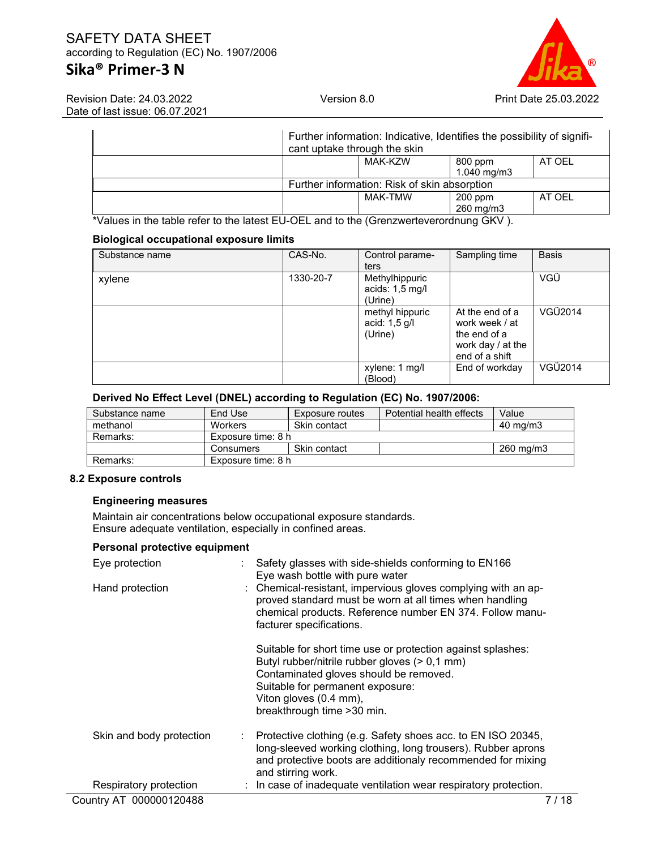# **Sika® Primer-3 N**



Revision Date: 24.03.2022 Date of last issue: 06.07.2021

| cant uptake through the skin | Further information: Indicative, Identifies the possibility of signifi- |                          |        |
|------------------------------|-------------------------------------------------------------------------|--------------------------|--------|
|                              | MAK-KZW                                                                 | 800 ppm<br>1.040 $mg/m3$ | AT OEL |
|                              | Further information: Risk of skin absorption                            |                          |        |
|                              | MAK-TMW                                                                 | $200$ ppm<br>260 mg/m3   | AT OEL |

\*Values in the table refer to the latest EU-OEL and to the (Grenzwerteverordnung GKV ).

#### **Biological occupational exposure limits**

| Substance name | CAS-No.   | Control parame-<br>ters                      | Sampling time                                                                            | <b>Basis</b> |
|----------------|-----------|----------------------------------------------|------------------------------------------------------------------------------------------|--------------|
| xylene         | 1330-20-7 | Methylhippuric<br>acids: 1,5 mg/l<br>(Urine) |                                                                                          | VGÜ          |
|                |           | methyl hippuric<br>acid: 1,5 g/l<br>(Urine)  | At the end of a<br>work week / at<br>the end of a<br>work day / at the<br>end of a shift | VGÜ2014      |
|                |           | xylene: 1 mg/l<br>(Blood)                    | End of workday                                                                           | VGÜ2014      |

#### **Derived No Effect Level (DNEL) according to Regulation (EC) No. 1907/2006:**

| Substance name | End Use            | Exposure routes | Potential health effects | Value               |
|----------------|--------------------|-----------------|--------------------------|---------------------|
| methanol       | <b>Workers</b>     | Skin contact    |                          | $40 \text{ ma/m}$ 3 |
| Remarks:       | Exposure time: 8 h |                 |                          |                     |
|                | Consumers          | Skin contact    |                          | 260 mg/m3           |
| Remarks:       | Exposure time: 8 h |                 |                          |                     |

#### **8.2 Exposure controls**

#### **Engineering measures**

Maintain air concentrations below occupational exposure standards. Ensure adequate ventilation, especially in confined areas.

#### **Personal protective equipment**

| Eye protection           | Safety glasses with side-shields conforming to EN166<br>Eye wash bottle with pure water                                                                                                                                                             |
|--------------------------|-----------------------------------------------------------------------------------------------------------------------------------------------------------------------------------------------------------------------------------------------------|
| Hand protection          | : Chemical-resistant, impervious gloves complying with an ap-<br>proved standard must be worn at all times when handling<br>chemical products. Reference number EN 374. Follow manu-<br>facturer specifications.                                    |
|                          | Suitable for short time use or protection against splashes:<br>Butyl rubber/nitrile rubber gloves (> 0,1 mm)<br>Contaminated gloves should be removed.<br>Suitable for permanent exposure:<br>Viton gloves (0.4 mm),<br>breakthrough time > 30 min. |
| Skin and body protection | : Protective clothing (e.g. Safety shoes acc. to EN ISO 20345,<br>long-sleeved working clothing, long trousers). Rubber aprons<br>and protective boots are additionaly recommended for mixing<br>and stirring work.                                 |
| Respiratory protection   | : In case of inadequate ventilation wear respiratory protection.                                                                                                                                                                                    |
| Country AT 000000120488  | 7 / 18                                                                                                                                                                                                                                              |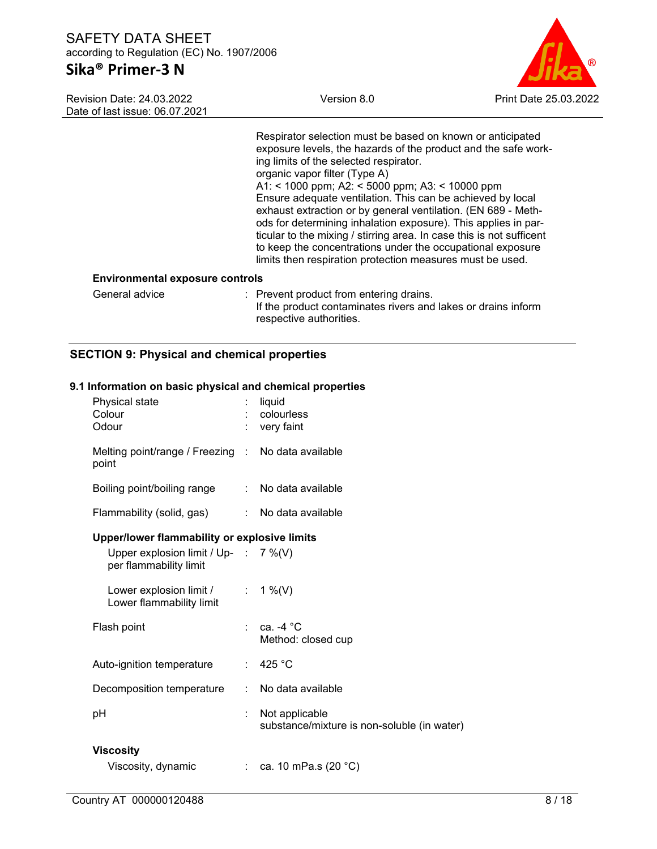# **Sika® Primer-3 N**

Revision Date: 24.03.2022 Date of last issue: 06.07.2021



Respirator selection must be based on known or anticipated exposure levels, the hazards of the product and the safe working limits of the selected respirator. organic vapor filter (Type A) A1: < 1000 ppm; A2: < 5000 ppm; A3: < 10000 ppm Ensure adequate ventilation. This can be achieved by local exhaust extraction or by general ventilation. (EN 689 - Methods for determining inhalation exposure). This applies in particular to the mixing / stirring area. In case this is not sufficent to keep the concentrations under the occupational exposure limits then respiration protection measures must be used.

#### **Environmental exposure controls**

| General advice | : Prevent product from entering drains.                       |
|----------------|---------------------------------------------------------------|
|                | If the product contaminates rivers and lakes or drains inform |
|                | respective authorities.                                       |

### **SECTION 9: Physical and chemical properties**

#### **9.1 Information on basic physical and chemical properties**

| Physical state<br>Colour<br>Odour                                       |                           | liquid<br>colourless<br>very faint                            |
|-------------------------------------------------------------------------|---------------------------|---------------------------------------------------------------|
| Melting point/range / Freezing : No data available<br>point             |                           |                                                               |
| Boiling point/boiling range                                             |                           | : No data available                                           |
| Flammability (solid, gas)                                               |                           | : No data available                                           |
| Upper/lower flammability or explosive limits                            |                           |                                                               |
| Upper explosion limit / Up- : $7\%$ (V)<br>per flammability limit       |                           |                                                               |
| Lower explosion limit / $\therefore$ 1 %(V)<br>Lower flammability limit |                           |                                                               |
| Flash point                                                             |                           | ca. $-4^{\circ}$ C<br>Method: closed cup                      |
| Auto-ignition temperature                                               |                           | : 425 °C                                                      |
| Decomposition temperature                                               | $\mathbb{R}^{\mathbb{Z}}$ | No data available                                             |
| рH                                                                      |                           | Not applicable<br>substance/mixture is non-soluble (in water) |
| <b>Viscosity</b>                                                        |                           |                                                               |
| Viscosity, dynamic                                                      |                           | : ca. 10 mPa.s $(20 °C)$                                      |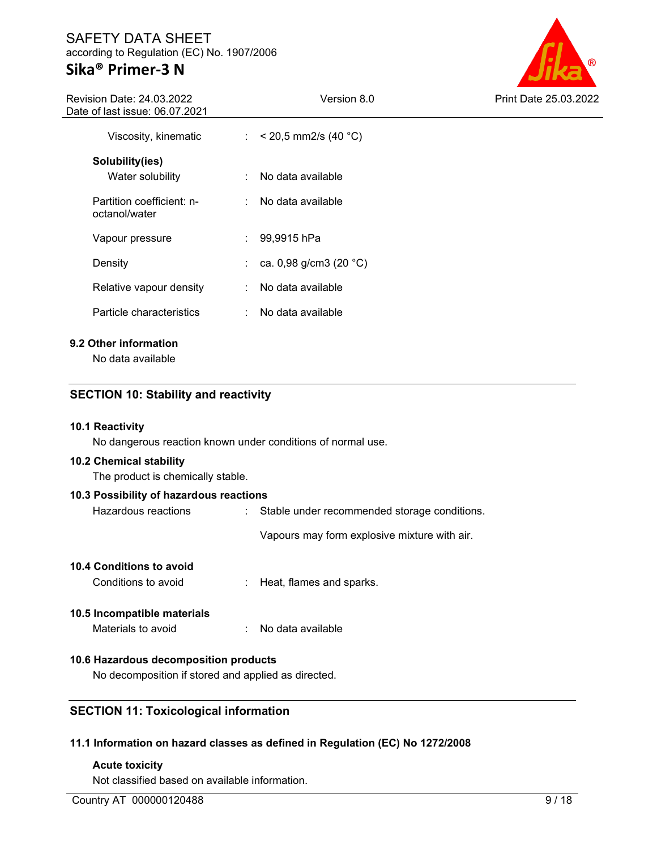# **Sika® Primer-3 N**



| Revision Date: 24.03.2022<br>Date of last issue: 06.07.2021 |    | Version 8.0                      | <b>Print Date 25.03.2022</b> |
|-------------------------------------------------------------|----|----------------------------------|------------------------------|
| Viscosity, kinematic                                        |    | : $< 20.5$ mm2/s (40 °C)         |                              |
| Solubility(ies)                                             |    |                                  |                              |
| Water solubility                                            |    | No data available                |                              |
| Partition coefficient: n-<br>octanol/water                  |    | : No data available              |                              |
| Vapour pressure                                             | ÷  | 99,9915 hPa                      |                              |
| Density                                                     | ÷. | ca. 0,98 g/cm3 (20 $^{\circ}$ C) |                              |
| Relative vapour density                                     |    | No data available                |                              |
| Particle characteristics                                    | ÷. | No data available                |                              |
| 9.2 Other information                                       |    |                                  |                              |

No data available

### **SECTION 10: Stability and reactivity**

#### **10.1 Reactivity**

No dangerous reaction known under conditions of normal use.

#### **10.2 Chemical stability**

The product is chemically stable.

### **10.3 Possibility of hazardous reactions**

| Hazardous reactions |  | Stable under recommended storage conditions. |
|---------------------|--|----------------------------------------------|
|---------------------|--|----------------------------------------------|

Vapours may form explosive mixture with air.

#### **10.4 Conditions to avoid**

Conditions to avoid : Heat, flames and sparks.

### **10.5 Incompatible materials**

| No data available<br>Materials to avoid |
|-----------------------------------------|
|                                         |

#### **10.6 Hazardous decomposition products**

No decomposition if stored and applied as directed.

#### **SECTION 11: Toxicological information**

#### **11.1 Information on hazard classes as defined in Regulation (EC) No 1272/2008**

#### **Acute toxicity**

Not classified based on available information.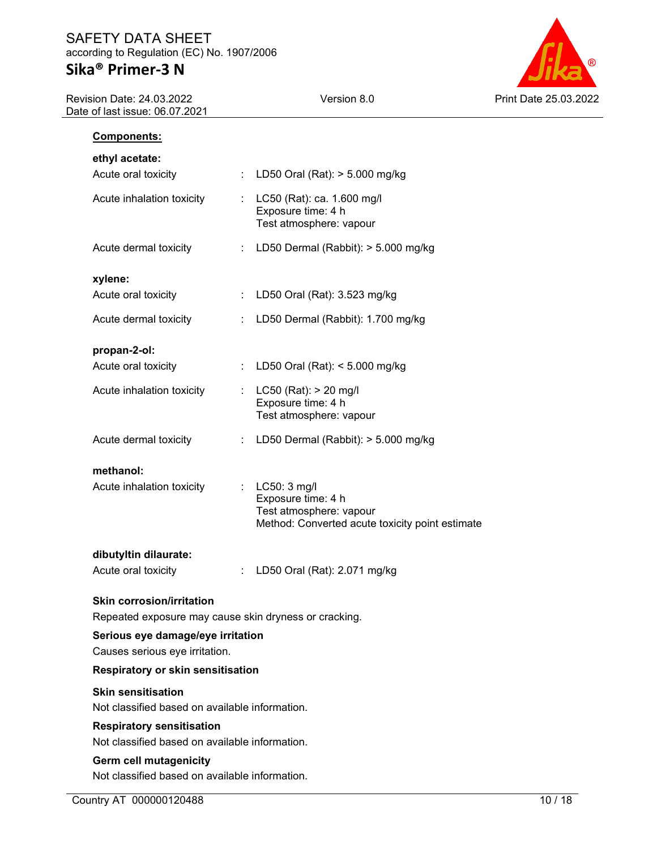Revision Date: 24.03.2022 Date of last issue: 06.07.2021



| Components:                                                                               |    |                                                                                                                      |  |  |  |  |  |
|-------------------------------------------------------------------------------------------|----|----------------------------------------------------------------------------------------------------------------------|--|--|--|--|--|
| ethyl acetate:                                                                            |    |                                                                                                                      |  |  |  |  |  |
| Acute oral toxicity                                                                       | ÷. | LD50 Oral (Rat): > 5.000 mg/kg                                                                                       |  |  |  |  |  |
| Acute inhalation toxicity                                                                 |    | : LC50 (Rat): ca. 1.600 mg/l<br>Exposure time: 4 h<br>Test atmosphere: vapour                                        |  |  |  |  |  |
| Acute dermal toxicity                                                                     | t. | LD50 Dermal (Rabbit): > 5.000 mg/kg                                                                                  |  |  |  |  |  |
| xylene:                                                                                   |    |                                                                                                                      |  |  |  |  |  |
| Acute oral toxicity                                                                       |    | : LD50 Oral (Rat): 3.523 mg/kg                                                                                       |  |  |  |  |  |
| Acute dermal toxicity                                                                     |    | LD50 Dermal (Rabbit): 1.700 mg/kg                                                                                    |  |  |  |  |  |
| propan-2-ol:                                                                              |    |                                                                                                                      |  |  |  |  |  |
| Acute oral toxicity                                                                       | ÷. | LD50 Oral (Rat): < 5.000 mg/kg                                                                                       |  |  |  |  |  |
| Acute inhalation toxicity                                                                 | ÷. | LC50 (Rat): > 20 mg/l<br>Exposure time: 4 h<br>Test atmosphere: vapour                                               |  |  |  |  |  |
| Acute dermal toxicity                                                                     |    | LD50 Dermal (Rabbit): > 5.000 mg/kg                                                                                  |  |  |  |  |  |
| methanol:<br>Acute inhalation toxicity                                                    |    | : $LC50: 3$ mg/l<br>Exposure time: 4 h<br>Test atmosphere: vapour<br>Method: Converted acute toxicity point estimate |  |  |  |  |  |
| dibutyltin dilaurate:<br>Acute oral toxicity                                              |    | LD50 Oral (Rat): 2.071 mg/kg                                                                                         |  |  |  |  |  |
| <b>Skin corrosion/irritation</b><br>Repeated exposure may cause skin dryness or cracking. |    |                                                                                                                      |  |  |  |  |  |
| Serious eye damage/eye irritation<br>Causes serious eye irritation.                       |    |                                                                                                                      |  |  |  |  |  |
| <b>Respiratory or skin sensitisation</b>                                                  |    |                                                                                                                      |  |  |  |  |  |
| <b>Skin sensitisation</b><br>Not classified based on available information.               |    |                                                                                                                      |  |  |  |  |  |
| <b>Respiratory sensitisation</b><br>Not classified based on available information.        |    |                                                                                                                      |  |  |  |  |  |
| <b>Germ cell mutagenicity</b><br>Not classified based on available information.           |    |                                                                                                                      |  |  |  |  |  |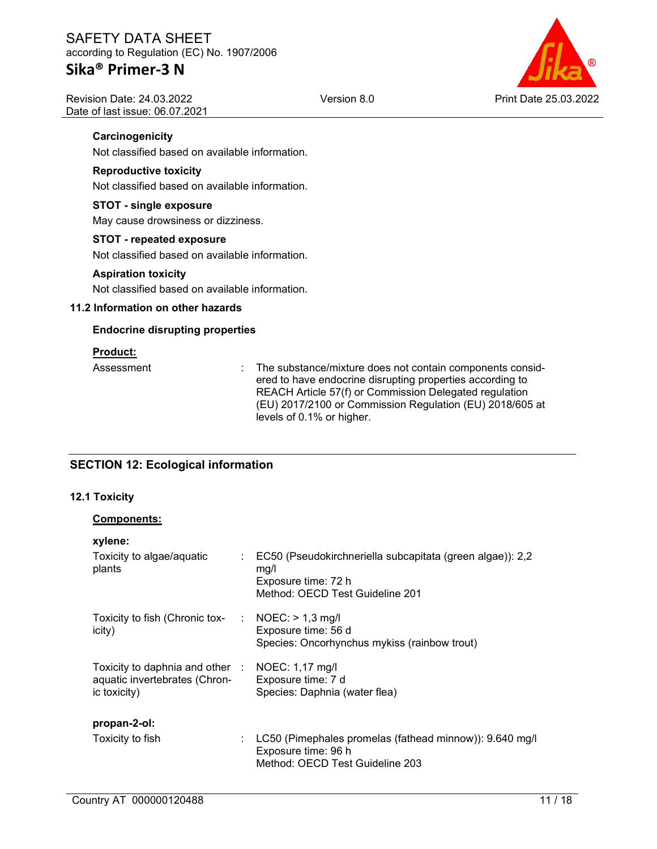### **Sika® Primer-3 N**

Revision Date: 24.03.2022 Date of last issue: 06.07.2021



### **Carcinogenicity**

Not classified based on available information.

#### **Reproductive toxicity**

Not classified based on available information.

#### **STOT - single exposure**

May cause drowsiness or dizziness.

#### **STOT - repeated exposure**

Not classified based on available information.

#### **Aspiration toxicity**

Not classified based on available information.

#### **11.2 Information on other hazards**

#### **Endocrine disrupting properties**

#### **Product:**

Assessment : The substance/mixture does not contain components considered to have endocrine disrupting properties according to REACH Article 57(f) or Commission Delegated regulation (EU) 2017/2100 or Commission Regulation (EU) 2018/605 at levels of 0.1% or higher.

### **SECTION 12: Ecological information**

### **12.1 Toxicity**

**xylene:** 

#### **Components:**

| VALCHIA'                                                                                         |                                                                                                                               |
|--------------------------------------------------------------------------------------------------|-------------------------------------------------------------------------------------------------------------------------------|
| Toxicity to algae/aquatic<br>plants                                                              | : EC50 (Pseudokirchneriella subcapitata (green algae)): 2,2<br>mq/l<br>Exposure time: 72 h<br>Method: OECD Test Guideline 201 |
| Toxicity to fish (Chronic tox- $\therefore$ NOEC: > 1,3 mg/l<br>icity)                           | Exposure time: 56 d<br>Species: Oncorhynchus mykiss (rainbow trout)                                                           |
| Toxicity to daphnia and other : NOEC: 1,17 mg/l<br>aquatic invertebrates (Chron-<br>ic toxicity) | Exposure time: 7 d<br>Species: Daphnia (water flea)                                                                           |
| propan-2-ol:                                                                                     |                                                                                                                               |
| Toxicity to fish                                                                                 | : $LC50$ (Pimephales promelas (fathead minnow)): $9.640$ mg/l<br>Exposure time: 96 h<br>Method: OECD Test Guideline 203       |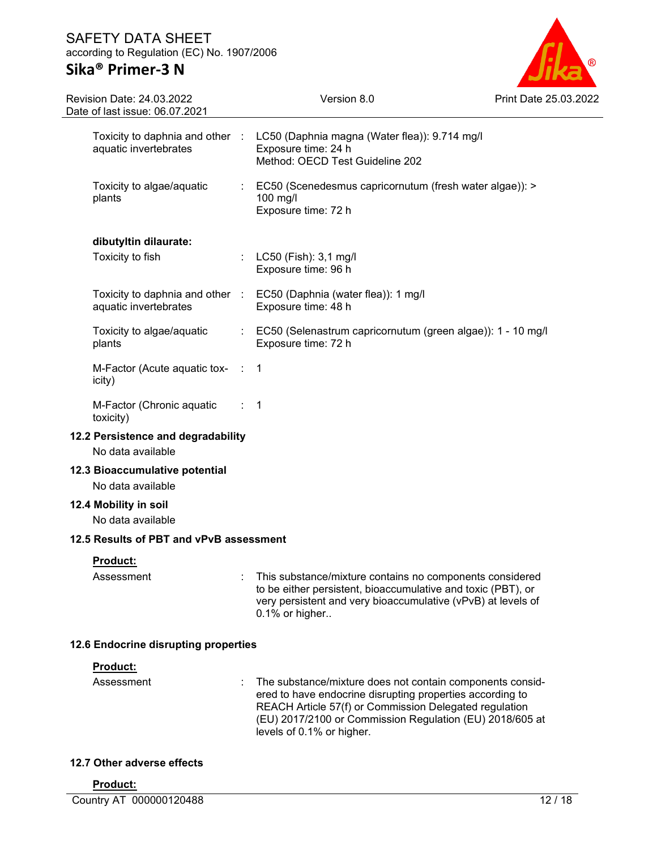

| Revision Date: 24.03.2022<br>Date of last issue: 06.07.2021 |    | Version 8.0                                                                                                                                                                                                                                                               | Print Date 25. |
|-------------------------------------------------------------|----|---------------------------------------------------------------------------------------------------------------------------------------------------------------------------------------------------------------------------------------------------------------------------|----------------|
| aquatic invertebrates                                       |    | Toxicity to daphnia and other : LC50 (Daphnia magna (Water flea)): 9.714 mg/l<br>Exposure time: 24 h<br>Method: OECD Test Guideline 202                                                                                                                                   |                |
| Toxicity to algae/aquatic<br>plants                         |    | EC50 (Scenedesmus capricornutum (fresh water algae)): ><br>100 mg/l<br>Exposure time: 72 h                                                                                                                                                                                |                |
| dibutyltin dilaurate:                                       |    |                                                                                                                                                                                                                                                                           |                |
| Toxicity to fish                                            |    | : LC50 (Fish): 3,1 mg/l<br>Exposure time: 96 h                                                                                                                                                                                                                            |                |
| aquatic invertebrates                                       |    | Toxicity to daphnia and other : EC50 (Daphnia (water flea)): 1 mg/l<br>Exposure time: 48 h                                                                                                                                                                                |                |
| Toxicity to algae/aquatic<br>plants                         | t. | EC50 (Selenastrum capricornutum (green algae)): 1 - 10 mg/l<br>Exposure time: 72 h                                                                                                                                                                                        |                |
| M-Factor (Acute aquatic tox- :<br>icity)                    |    | 1                                                                                                                                                                                                                                                                         |                |
| M-Factor (Chronic aquatic<br>toxicity)                      |    | -1                                                                                                                                                                                                                                                                        |                |
| 12.2 Persistence and degradability<br>No data available     |    |                                                                                                                                                                                                                                                                           |                |
| 12.3 Bioaccumulative potential<br>No data available         |    |                                                                                                                                                                                                                                                                           |                |
| 12.4 Mobility in soil<br>No data available                  |    |                                                                                                                                                                                                                                                                           |                |
| 12.5 Results of PBT and vPvB assessment                     |    |                                                                                                                                                                                                                                                                           |                |
| Product:<br>Assessment                                      |    | This substance/mixture contains no components considered<br>to be either persistent, bioaccumulative and toxic (PBT), or<br>very persistent and very bioaccumulative (vPvB) at levels of<br>0.1% or higher                                                                |                |
| 12.6 Endocrine disrupting properties                        |    |                                                                                                                                                                                                                                                                           |                |
| Product:<br>Assessment                                      |    | The substance/mixture does not contain components consid-<br>ered to have endocrine disrupting properties according to<br>REACH Article 57(f) or Commission Delegated regulation<br>(EU) 2017/2100 or Commission Regulation (EU) 2018/605 at<br>levels of 0.1% or higher. |                |

### **12.7 Other adverse effects**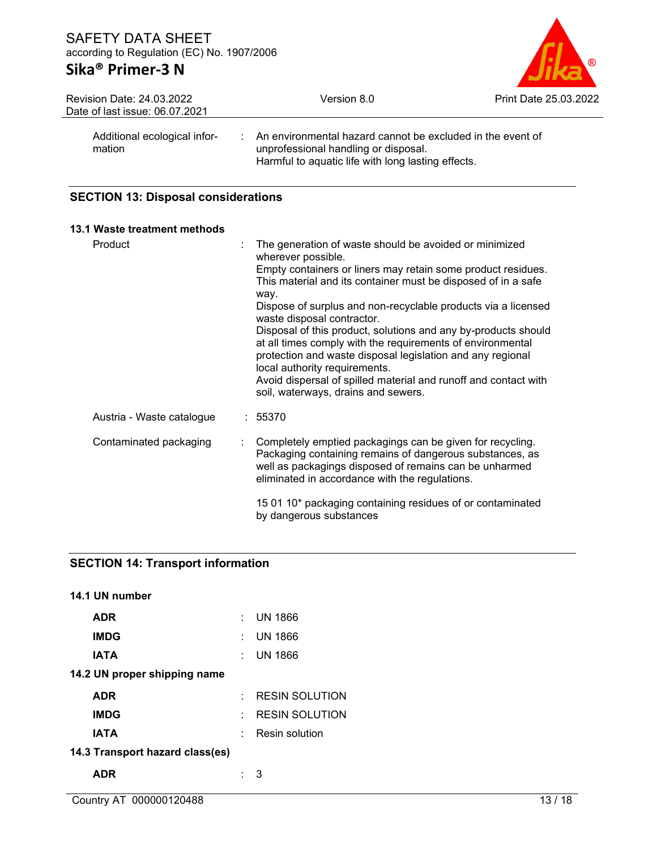# **Sika® Primer-3 N**



| <b>Revision Date: 24.03.2022</b><br>Date of last issue: 06.07.2021 | Version 8.0                                                                                                                                                           | Print Date 25.03.2022 |
|--------------------------------------------------------------------|-----------------------------------------------------------------------------------------------------------------------------------------------------------------------|-----------------------|
| Additional ecological infor-<br>mation                             | $\therefore$ An environmental hazard cannot be excluded in the event of<br>unprofessional handling or disposal.<br>Harmful to aquatic life with long lasting effects. |                       |

### **SECTION 13: Disposal considerations**

| 13.1 Waste treatment methods |   |                                                                                                                                                                                                                                                                                                                                       |
|------------------------------|---|---------------------------------------------------------------------------------------------------------------------------------------------------------------------------------------------------------------------------------------------------------------------------------------------------------------------------------------|
| Product                      | ÷ | The generation of waste should be avoided or minimized<br>wherever possible.<br>Empty containers or liners may retain some product residues.<br>This material and its container must be disposed of in a safe                                                                                                                         |
|                              |   | way.<br>Dispose of surplus and non-recyclable products via a licensed<br>waste disposal contractor.                                                                                                                                                                                                                                   |
|                              |   | Disposal of this product, solutions and any by-products should<br>at all times comply with the requirements of environmental<br>protection and waste disposal legislation and any regional<br>local authority requirements.<br>Avoid dispersal of spilled material and runoff and contact with<br>soil, waterways, drains and sewers. |
| Austria - Waste catalogue    |   | : 55370                                                                                                                                                                                                                                                                                                                               |
| Contaminated packaging       |   | Completely emptied packagings can be given for recycling.<br>Packaging containing remains of dangerous substances, as<br>well as packagings disposed of remains can be unharmed<br>eliminated in accordance with the regulations.                                                                                                     |
|                              |   | 15 01 10* packaging containing residues of or contaminated<br>by dangerous substances                                                                                                                                                                                                                                                 |

# **SECTION 14: Transport information**

| 14.1 UN number                  |     |                       |
|---------------------------------|-----|-----------------------|
| <b>ADR</b>                      |     | UN 1866               |
| <b>IMDG</b>                     |     | <b>UN 1866</b>        |
| IATA                            | × 1 | UN 1866               |
| 14.2 UN proper shipping name    |     |                       |
| <b>ADR</b>                      | ٠.  | <b>RESIN SOLUTION</b> |
| <b>IMDG</b>                     |     | <b>RESIN SOLUTION</b> |
| IATA                            |     | Resin solution        |
| 14.3 Transport hazard class(es) |     |                       |
| <b>ADR</b>                      |     | З                     |
|                                 |     |                       |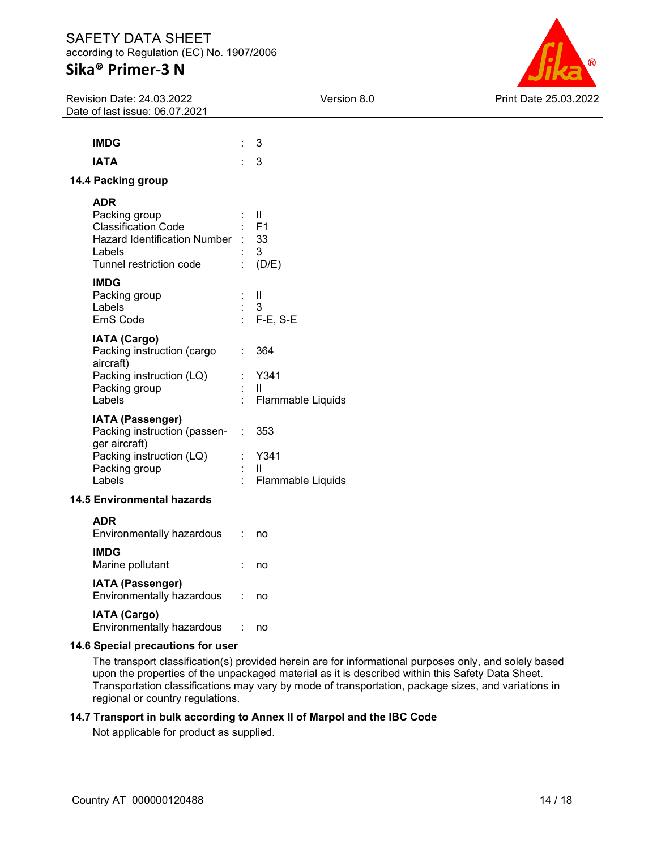# **Sika® Primer-3 N**

Revision Date: 24.03.2022 Date of last issue: 06.07.2021



| <b>IMDG</b>                                                                                                                                                           |                | 3                                                    |
|-----------------------------------------------------------------------------------------------------------------------------------------------------------------------|----------------|------------------------------------------------------|
| <b>IATA</b>                                                                                                                                                           |                | 3                                                    |
| 14.4 Packing group                                                                                                                                                    |                |                                                      |
| <b>ADR</b><br>Packing group<br><b>Classification Code</b><br><b>Hazard Identification Number</b><br>Labels<br>Tunnel restriction code<br><b>IMDG</b><br>Packing group |                | $\mathbf{H}$<br>- F1<br>: 33<br>- 3<br>(D/E)<br>- 11 |
| Labels<br>EmS Code                                                                                                                                                    | $\therefore$ 3 | : F-E, <u>S-E</u>                                    |
| <b>IATA (Cargo)</b><br>Packing instruction (cargo : 364<br>aircraft)<br>Packing instruction (LQ)<br>Packing group<br>Labels                                           |                | : Y341<br>- 11<br>Flammable Liquids                  |
| <b>IATA (Passenger)</b><br>Packing instruction (passen-<br>ger aircraft)<br>Packing instruction (LQ)<br>Packing group<br>Labels                                       | t<br>t.        | : 353<br>Y341<br>H<br><b>Flammable Liquids</b>       |
| <b>14.5 Environmental hazards</b>                                                                                                                                     |                |                                                      |

### **ADR**

| Environmentally hazardous                            | no |
|------------------------------------------------------|----|
| <b>IMDG</b><br>Marine pollutant                      | no |
| <b>IATA (Passenger)</b><br>Environmentally hazardous | no |
| <b>IATA (Cargo)</b><br>Environmentally hazardous     |    |

#### **14.6 Special precautions for user**

The transport classification(s) provided herein are for informational purposes only, and solely based upon the properties of the unpackaged material as it is described within this Safety Data Sheet. Transportation classifications may vary by mode of transportation, package sizes, and variations in regional or country regulations.

#### **14.7 Transport in bulk according to Annex II of Marpol and the IBC Code**

Not applicable for product as supplied.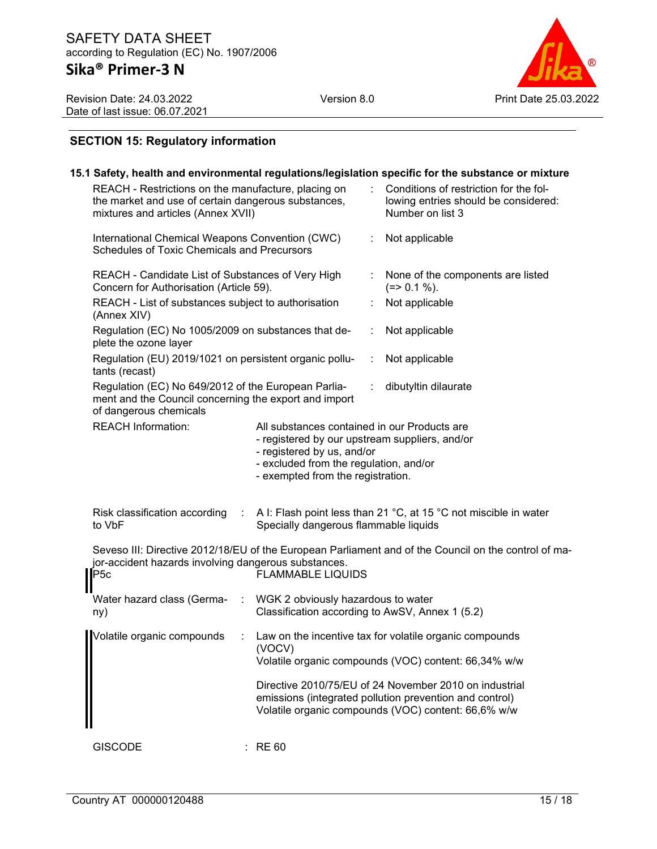Version 8.0 Print Date 25.03.2022

Revision Date: 24.03.2022 Date of last issue: 06.07.2021

### **SECTION 15: Regulatory information**

|                                                                                                                                                  |               |                                                                                                                                                                                                             |   | 15.1 Safety, health and environmental regulations/legislation specific for the substance or mixture                                                                      |
|--------------------------------------------------------------------------------------------------------------------------------------------------|---------------|-------------------------------------------------------------------------------------------------------------------------------------------------------------------------------------------------------------|---|--------------------------------------------------------------------------------------------------------------------------------------------------------------------------|
| REACH - Restrictions on the manufacture, placing on<br>the market and use of certain dangerous substances,<br>mixtures and articles (Annex XVII) |               |                                                                                                                                                                                                             |   | Conditions of restriction for the fol-<br>lowing entries should be considered:<br>Number on list 3                                                                       |
| International Chemical Weapons Convention (CWC)<br>Schedules of Toxic Chemicals and Precursors                                                   |               |                                                                                                                                                                                                             |   | Not applicable                                                                                                                                                           |
| REACH - Candidate List of Substances of Very High<br>Concern for Authorisation (Article 59).                                                     |               |                                                                                                                                                                                                             | ÷ | None of the components are listed<br>$(=>0.1\%).$                                                                                                                        |
| REACH - List of substances subject to authorisation<br>(Annex XIV)                                                                               |               |                                                                                                                                                                                                             |   | Not applicable                                                                                                                                                           |
| Regulation (EC) No 1005/2009 on substances that de-<br>plete the ozone layer                                                                     |               |                                                                                                                                                                                                             | ÷ | Not applicable                                                                                                                                                           |
| Regulation (EU) 2019/1021 on persistent organic pollu-<br>tants (recast)                                                                         |               |                                                                                                                                                                                                             | ÷ | Not applicable                                                                                                                                                           |
| Regulation (EC) No 649/2012 of the European Parlia-<br>ment and the Council concerning the export and import<br>of dangerous chemicals           |               |                                                                                                                                                                                                             |   | dibutyltin dilaurate                                                                                                                                                     |
| <b>REACH Information:</b>                                                                                                                        |               | All substances contained in our Products are<br>- registered by our upstream suppliers, and/or<br>- registered by us, and/or<br>- excluded from the regulation, and/or<br>- exempted from the registration. |   |                                                                                                                                                                          |
| Risk classification according<br>to VbF                                                                                                          | ÷             | Specially dangerous flammable liquids                                                                                                                                                                       |   | A I: Flash point less than 21 °C, at 15 °C not miscible in water                                                                                                         |
| jor-accident hazards involving dangerous substances.<br>P5c                                                                                      |               | <b>FLAMMABLE LIQUIDS</b>                                                                                                                                                                                    |   | Seveso III: Directive 2012/18/EU of the European Parliament and of the Council on the control of ma-                                                                     |
| Water hazard class (Germa-<br>ny)                                                                                                                | $\mathcal{L}$ | WGK 2 obviously hazardous to water<br>Classification according to AwSV, Annex 1 (5.2)                                                                                                                       |   |                                                                                                                                                                          |
| Volatile organic compounds                                                                                                                       |               | (VOCV)                                                                                                                                                                                                      |   | Law on the incentive tax for volatile organic compounds<br>Volatile organic compounds (VOC) content: 66,34% w/w                                                          |
|                                                                                                                                                  |               |                                                                                                                                                                                                             |   | Directive 2010/75/EU of 24 November 2010 on industrial<br>emissions (integrated pollution prevention and control)<br>Volatile organic compounds (VOC) content: 66,6% w/w |
| <b>GISCODE</b>                                                                                                                                   |               | <b>RE 60</b>                                                                                                                                                                                                |   |                                                                                                                                                                          |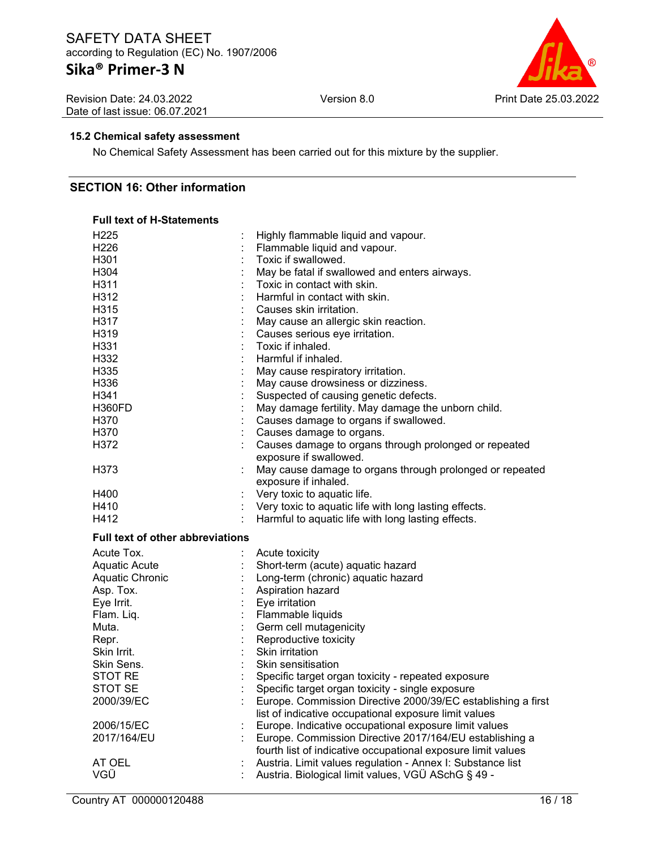# **Sika® Primer-3 N**

Revision Date: 24.03.2022 Date of last issue: 06.07.2021



#### **15.2 Chemical safety assessment**

No Chemical Safety Assessment has been carried out for this mixture by the supplier.

#### **SECTION 16: Other information**

#### **Full text of H-Statements**

| H <sub>225</sub>                        |                      | Highly flammable liquid and vapour.                                                                              |
|-----------------------------------------|----------------------|------------------------------------------------------------------------------------------------------------------|
| H <sub>226</sub>                        |                      | Flammable liquid and vapour.                                                                                     |
| H301                                    |                      | Toxic if swallowed.                                                                                              |
| H304                                    |                      | May be fatal if swallowed and enters airways.                                                                    |
| H311                                    |                      | Toxic in contact with skin.                                                                                      |
| H312                                    |                      | Harmful in contact with skin.                                                                                    |
| H315                                    |                      | Causes skin irritation.                                                                                          |
| H317                                    |                      | May cause an allergic skin reaction.                                                                             |
| H319                                    |                      | Causes serious eye irritation.                                                                                   |
| H331                                    |                      | Toxic if inhaled.                                                                                                |
| H332                                    |                      | Harmful if inhaled.                                                                                              |
| H335                                    |                      | May cause respiratory irritation.                                                                                |
| H336                                    |                      | May cause drowsiness or dizziness.                                                                               |
| H341                                    |                      | Suspected of causing genetic defects.                                                                            |
| H360FD                                  |                      | May damage fertility. May damage the unborn child.                                                               |
| H370                                    |                      | Causes damage to organs if swallowed.                                                                            |
| H370                                    |                      | Causes damage to organs.                                                                                         |
| H372                                    |                      | Causes damage to organs through prolonged or repeated                                                            |
|                                         |                      | exposure if swallowed.                                                                                           |
| H373                                    |                      | May cause damage to organs through prolonged or repeated                                                         |
|                                         |                      | exposure if inhaled.                                                                                             |
| H400                                    |                      | Very toxic to aquatic life.                                                                                      |
| H410                                    | $\ddot{\phantom{a}}$ | Very toxic to aquatic life with long lasting effects.                                                            |
| H412                                    |                      | Harmful to aquatic life with long lasting effects.                                                               |
|                                         |                      |                                                                                                                  |
| <b>Full text of other abbreviations</b> |                      |                                                                                                                  |
|                                         |                      |                                                                                                                  |
| Acute Tox.                              |                      | Acute toxicity                                                                                                   |
| Aquatic Acute                           |                      | Short-term (acute) aquatic hazard                                                                                |
| Aquatic Chronic                         |                      | Long-term (chronic) aquatic hazard                                                                               |
| Asp. Tox.                               |                      | Aspiration hazard                                                                                                |
| Eye Irrit.                              |                      | Eye irritation                                                                                                   |
| Flam. Liq.<br>Muta.                     |                      | Flammable liquids                                                                                                |
|                                         |                      | Germ cell mutagenicity                                                                                           |
| Repr.<br>Skin Irrit.                    |                      | Reproductive toxicity                                                                                            |
|                                         |                      | Skin irritation<br>Skin sensitisation                                                                            |
| Skin Sens.                              |                      |                                                                                                                  |
| <b>STOT RE</b><br>STOT SE               |                      | Specific target organ toxicity - repeated exposure                                                               |
| 2000/39/EC                              |                      | Specific target organ toxicity - single exposure                                                                 |
|                                         |                      | Europe. Commission Directive 2000/39/EC establishing a first                                                     |
| 2006/15/EC                              |                      | list of indicative occupational exposure limit values                                                            |
| 2017/164/EU                             |                      | Europe. Indicative occupational exposure limit values<br>Europe. Commission Directive 2017/164/EU establishing a |
|                                         |                      |                                                                                                                  |
| AT OEL                                  |                      | fourth list of indicative occupational exposure limit values                                                     |
| VGÜ                                     |                      | Austria. Limit values regulation - Annex I: Substance list<br>Austria. Biological limit values, VGÜ ASchG § 49 - |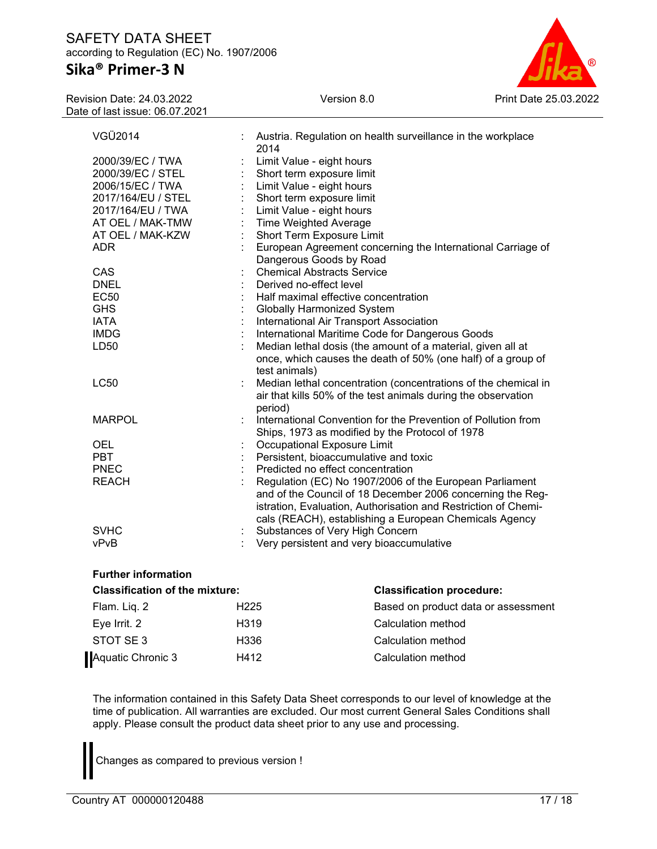# **Sika® Primer-3 N**

| ®                     |
|-----------------------|
| Print Date 25.03.2022 |

| <b>Revision Date: 24.03.2022</b> |  |  |  |  |  |
|----------------------------------|--|--|--|--|--|
| Date of last issue: 06.07.2021   |  |  |  |  |  |

| VGÜ2014            |   | Austria. Regulation on health surveillance in the workplace<br>2014                                                                          |
|--------------------|---|----------------------------------------------------------------------------------------------------------------------------------------------|
| 2000/39/EC / TWA   |   | Limit Value - eight hours                                                                                                                    |
| 2000/39/EC / STEL  |   | Short term exposure limit                                                                                                                    |
| 2006/15/EC / TWA   |   | Limit Value - eight hours                                                                                                                    |
| 2017/164/EU / STEL |   | Short term exposure limit                                                                                                                    |
| 2017/164/EU / TWA  |   | Limit Value - eight hours                                                                                                                    |
| AT OEL / MAK-TMW   |   | <b>Time Weighted Average</b>                                                                                                                 |
| AT OEL / MAK-KZW   |   | Short Term Exposure Limit                                                                                                                    |
| <b>ADR</b>         |   | European Agreement concerning the International Carriage of                                                                                  |
|                    |   | Dangerous Goods by Road                                                                                                                      |
| CAS                |   | <b>Chemical Abstracts Service</b>                                                                                                            |
| <b>DNEL</b>        |   | Derived no-effect level                                                                                                                      |
| <b>EC50</b>        |   | Half maximal effective concentration                                                                                                         |
| <b>GHS</b>         |   | <b>Globally Harmonized System</b>                                                                                                            |
| <b>IATA</b>        |   | International Air Transport Association                                                                                                      |
| <b>IMDG</b>        |   | International Maritime Code for Dangerous Goods                                                                                              |
| LD50               |   | Median lethal dosis (the amount of a material, given all at<br>once, which causes the death of 50% (one half) of a group of<br>test animals) |
| <b>LC50</b>        | ÷ | Median lethal concentration (concentrations of the chemical in<br>air that kills 50% of the test animals during the observation<br>period)   |
| <b>MARPOL</b>      |   | International Convention for the Prevention of Pollution from                                                                                |
|                    |   | Ships, 1973 as modified by the Protocol of 1978                                                                                              |
| <b>OEL</b>         |   | Occupational Exposure Limit                                                                                                                  |
| <b>PBT</b>         |   | Persistent, bioaccumulative and toxic                                                                                                        |
| <b>PNEC</b>        |   | Predicted no effect concentration                                                                                                            |
| <b>REACH</b>       |   | Regulation (EC) No 1907/2006 of the European Parliament                                                                                      |
|                    |   | and of the Council of 18 December 2006 concerning the Reg-                                                                                   |
|                    |   | istration, Evaluation, Authorisation and Restriction of Chemi-                                                                               |
|                    |   | cals (REACH), establishing a European Chemicals Agency                                                                                       |
| <b>SVHC</b>        |   | Substances of Very High Concern                                                                                                              |
| vPvB               |   | Very persistent and very bioaccumulative                                                                                                     |

| <b>Further information</b>            |                   |                                     |  |  |
|---------------------------------------|-------------------|-------------------------------------|--|--|
| <b>Classification of the mixture:</b> |                   | <b>Classification procedure:</b>    |  |  |
| Flam. Liq. 2                          | H <sub>225</sub>  | Based on product data or assessment |  |  |
| Eye Irrit. 2                          | H <sub>3</sub> 19 | Calculation method                  |  |  |
| STOT SE 3                             | H336              | Calculation method                  |  |  |
| Aquatic Chronic 3                     | H412              | Calculation method                  |  |  |

The information contained in this Safety Data Sheet corresponds to our level of knowledge at the time of publication. All warranties are excluded. Our most current General Sales Conditions shall apply. Please consult the product data sheet prior to any use and processing.

Changes as compared to previous version !